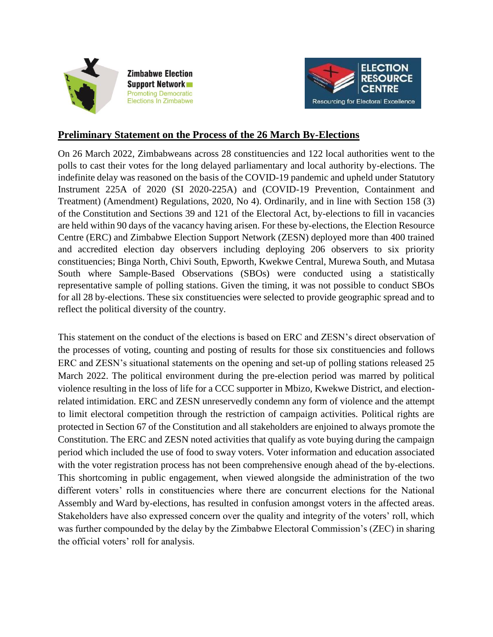

**Zimbabwe Election Support Network Promoting Democratic Elections In Zimbabwe** 



## **Preliminary Statement on the Process of the 26 March By-Elections**

On 26 March 2022, Zimbabweans across 28 constituencies and 122 local authorities went to the polls to cast their votes for the long delayed parliamentary and local authority by-elections. The indefinite delay was reasoned on the basis of the COVID-19 pandemic and upheld under Statutory Instrument 225A of 2020 (SI 2020-225A) and (COVID-19 Prevention, Containment and Treatment) (Amendment) Regulations, 2020, No 4). Ordinarily, and in line with Section 158 (3) of the Constitution and Sections 39 and 121 of the Electoral Act, by-elections to fill in vacancies are held within 90 days of the vacancy having arisen. For these by-elections, the Election Resource Centre (ERC) and Zimbabwe Election Support Network (ZESN) deployed more than 400 trained and accredited election day observers including deploying 206 observers to six priority constituencies; Binga North, Chivi South, Epworth, Kwekwe Central, Murewa South, and Mutasa South where Sample-Based Observations (SBOs) were conducted using a statistically representative sample of polling stations. Given the timing, it was not possible to conduct SBOs for all 28 by-elections. These six constituencies were selected to provide geographic spread and to reflect the political diversity of the country.

This statement on the conduct of the elections is based on ERC and ZESN's direct observation of the processes of voting, counting and posting of results for those six constituencies and follows ERC and ZESN's situational statements on the opening and set-up of polling stations released 25 March 2022. The political environment during the pre-election period was marred by political violence resulting in the loss of life for a CCC supporter in Mbizo, Kwekwe District, and electionrelated intimidation. ERC and ZESN unreservedly condemn any form of violence and the attempt to limit electoral competition through the restriction of campaign activities. Political rights are protected in Section 67 of the Constitution and all stakeholders are enjoined to always promote the Constitution. The ERC and ZESN noted activities that qualify as vote buying during the campaign period which included the use of food to sway voters. Voter information and education associated with the voter registration process has not been comprehensive enough ahead of the by-elections. This shortcoming in public engagement, when viewed alongside the administration of the two different voters' rolls in constituencies where there are concurrent elections for the National Assembly and Ward by-elections, has resulted in confusion amongst voters in the affected areas. Stakeholders have also expressed concern over the quality and integrity of the voters' roll, which was further compounded by the delay by the Zimbabwe Electoral Commission's (ZEC) in sharing the official voters' roll for analysis.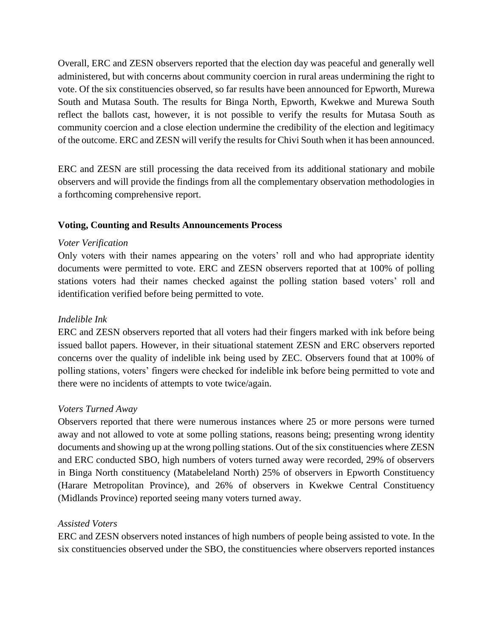Overall, ERC and ZESN observers reported that the election day was peaceful and generally well administered, but with concerns about community coercion in rural areas undermining the right to vote. Of the six constituencies observed, so far results have been announced for Epworth, Murewa South and Mutasa South. The results for Binga North, Epworth, Kwekwe and Murewa South reflect the ballots cast, however, it is not possible to verify the results for Mutasa South as community coercion and a close election undermine the credibility of the election and legitimacy of the outcome. ERC and ZESN will verify the results for Chivi South when it has been announced.

ERC and ZESN are still processing the data received from its additional stationary and mobile observers and will provide the findings from all the complementary observation methodologies in a forthcoming comprehensive report.

### **Voting, Counting and Results Announcements Process**

#### *Voter Verification*

Only voters with their names appearing on the voters' roll and who had appropriate identity documents were permitted to vote. ERC and ZESN observers reported that at 100% of polling stations voters had their names checked against the polling station based voters' roll and identification verified before being permitted to vote.

### *Indelible Ink*

ERC and ZESN observers reported that all voters had their fingers marked with ink before being issued ballot papers. However, in their situational statement ZESN and ERC observers reported concerns over the quality of indelible ink being used by ZEC. Observers found that at 100% of polling stations, voters' fingers were checked for indelible ink before being permitted to vote and there were no incidents of attempts to vote twice/again.

### *Voters Turned Away*

Observers reported that there were numerous instances where 25 or more persons were turned away and not allowed to vote at some polling stations, reasons being; presenting wrong identity documents and showing up at the wrong polling stations. Out of the six constituencies where ZESN and ERC conducted SBO, high numbers of voters turned away were recorded, 29% of observers in Binga North constituency (Matabeleland North) 25% of observers in Epworth Constituency (Harare Metropolitan Province), and 26% of observers in Kwekwe Central Constituency (Midlands Province) reported seeing many voters turned away.

### *Assisted Voters*

ERC and ZESN observers noted instances of high numbers of people being assisted to vote. In the six constituencies observed under the SBO, the constituencies where observers reported instances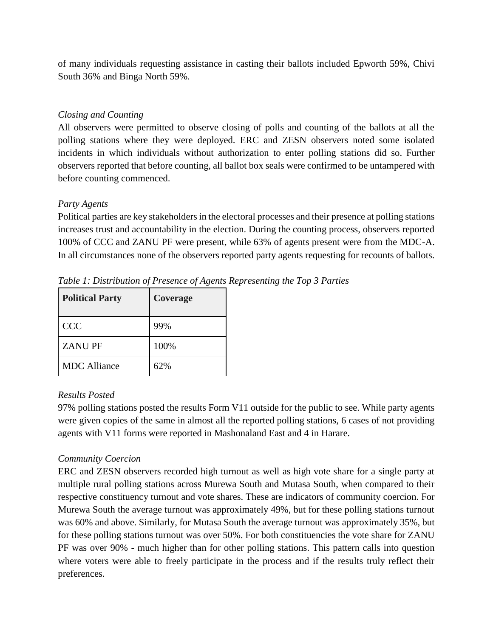of many individuals requesting assistance in casting their ballots included Epworth 59%, Chivi South 36% and Binga North 59%.

### *Closing and Counting*

All observers were permitted to observe closing of polls and counting of the ballots at all the polling stations where they were deployed. ERC and ZESN observers noted some isolated incidents in which individuals without authorization to enter polling stations did so. Further observers reported that before counting, all ballot box seals were confirmed to be untampered with before counting commenced.

### *Party Agents*

Political parties are key stakeholders in the electoral processes and their presence at polling stations increases trust and accountability in the election. During the counting process, observers reported 100% of CCC and ZANU PF were present, while 63% of agents present were from the MDC-A. In all circumstances none of the observers reported party agents requesting for recounts of ballots.

| <b>Political Party</b> | Coverage |
|------------------------|----------|
| <b>CCC</b>             | 99%      |
| <b>ZANUPF</b>          | 100%     |
| <b>MDC</b> Alliance    | 62%      |

*Table 1: Distribution of Presence of Agents Representing the Top 3 Parties*

## *Results Posted*

97% polling stations posted the results Form V11 outside for the public to see. While party agents were given copies of the same in almost all the reported polling stations, 6 cases of not providing agents with V11 forms were reported in Mashonaland East and 4 in Harare.

## *Community Coercion*

ERC and ZESN observers recorded high turnout as well as high vote share for a single party at multiple rural polling stations across Murewa South and Mutasa South, when compared to their respective constituency turnout and vote shares. These are indicators of community coercion. For Murewa South the average turnout was approximately 49%, but for these polling stations turnout was 60% and above. Similarly, for Mutasa South the average turnout was approximately 35%, but for these polling stations turnout was over 50%. For both constituencies the vote share for ZANU PF was over 90% - much higher than for other polling stations. This pattern calls into question where voters were able to freely participate in the process and if the results truly reflect their preferences.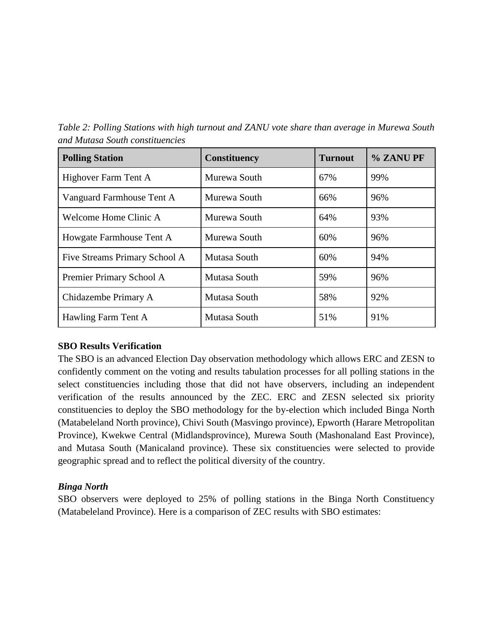*Table 2: Polling Stations with high turnout and ZANU vote share than average in Murewa South and Mutasa South constituencies*

| <b>Polling Station</b>        | <b>Constituency</b> | <b>Turnout</b> | % ZANU PF |
|-------------------------------|---------------------|----------------|-----------|
| Highover Farm Tent A          | Murewa South        | 67%            | 99%       |
| Vanguard Farmhouse Tent A     | Murewa South        | 66%            | 96%       |
| Welcome Home Clinic A         | Murewa South        | 64%            | 93%       |
| Howgate Farmhouse Tent A      | Murewa South        | 60%            | 96%       |
| Five Streams Primary School A | Mutasa South        | 60%            | 94%       |
| Premier Primary School A      | Mutasa South        | 59%            | 96%       |
| Chidazembe Primary A          | Mutasa South        | 58%            | 92%       |
| Hawling Farm Tent A           | Mutasa South        | 51%            | 91%       |

#### **SBO Results Verification**

The SBO is an advanced Election Day observation methodology which allows ERC and ZESN to confidently comment on the voting and results tabulation processes for all polling stations in the select constituencies including those that did not have observers, including an independent verification of the results announced by the ZEC. ERC and ZESN selected six priority constituencies to deploy the SBO methodology for the by-election which included Binga North (Matabeleland North province), Chivi South (Masvingo province), Epworth (Harare Metropolitan Province), Kwekwe Central (Midlandsprovince), Murewa South (Mashonaland East Province), and Mutasa South (Manicaland province). These six constituencies were selected to provide geographic spread and to reflect the political diversity of the country.

### *Binga North*

SBO observers were deployed to 25% of polling stations in the Binga North Constituency (Matabeleland Province). Here is a comparison of ZEC results with SBO estimates: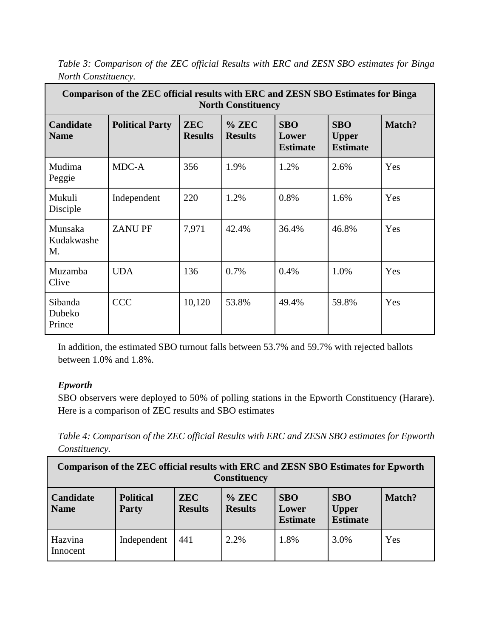| Comparison of the ZEC official results with ERC and ZESN SBO Estimates for Binga<br><b>North Constituency</b> |                        |                              |                           |                                        |                                               |        |  |
|---------------------------------------------------------------------------------------------------------------|------------------------|------------------------------|---------------------------|----------------------------------------|-----------------------------------------------|--------|--|
| <b>Candidate</b><br><b>Name</b>                                                                               | <b>Political Party</b> | <b>ZEC</b><br><b>Results</b> | $%$ ZEC<br><b>Results</b> | <b>SBO</b><br>Lower<br><b>Estimate</b> | <b>SBO</b><br><b>Upper</b><br><b>Estimate</b> | Match? |  |
| Mudima<br>Peggie                                                                                              | MDC-A                  | 356                          | 1.9%                      | 1.2%                                   | 2.6%                                          | Yes    |  |
| Mukuli<br>Disciple                                                                                            | Independent            | 220                          | 1.2%                      | 0.8%                                   | 1.6%                                          | Yes    |  |
| Munsaka<br>Kudakwashe<br>M.                                                                                   | <b>ZANUPF</b>          | 7,971                        | 42.4%                     | 36.4%                                  | 46.8%                                         | Yes    |  |
| Muzamba<br>Clive                                                                                              | <b>UDA</b>             | 136                          | 0.7%                      | 0.4%                                   | 1.0%                                          | Yes    |  |
| Sibanda<br>Dubeko<br>Prince                                                                                   | <b>CCC</b>             | 10,120                       | 53.8%                     | 49.4%                                  | 59.8%                                         | Yes    |  |

*Table 3: Comparison of the ZEC official Results with ERC and ZESN SBO estimates for Binga North Constituency.*

In addition, the estimated SBO turnout falls between 53.7% and 59.7% with rejected ballots between 1.0% and 1.8%.

# *Epworth*

SBO observers were deployed to 50% of polling stations in the Epworth Constituency (Harare). Here is a comparison of ZEC results and SBO estimates

*Table 4: Comparison of the ZEC official Results with ERC and ZESN SBO estimates for Epworth Constituency.*

| Comparison of the ZEC official results with ERC and ZESN SBO Estimates for Epworth<br><b>Constituency</b>                                                                                                                      |             |     |      |      |      |     |  |
|--------------------------------------------------------------------------------------------------------------------------------------------------------------------------------------------------------------------------------|-------------|-----|------|------|------|-----|--|
| <b>Political</b><br>$%$ ZEC<br><b>SBO</b><br><b>SBO</b><br>Candidate<br><b>ZEC</b><br>Match?<br><b>Results</b><br><b>Results</b><br><b>Upper</b><br><b>Name</b><br><b>Party</b><br>Lower<br><b>Estimate</b><br><b>Estimate</b> |             |     |      |      |      |     |  |
| Hazvina<br>Innocent                                                                                                                                                                                                            | Independent | 441 | 2.2% | 1.8% | 3.0% | Yes |  |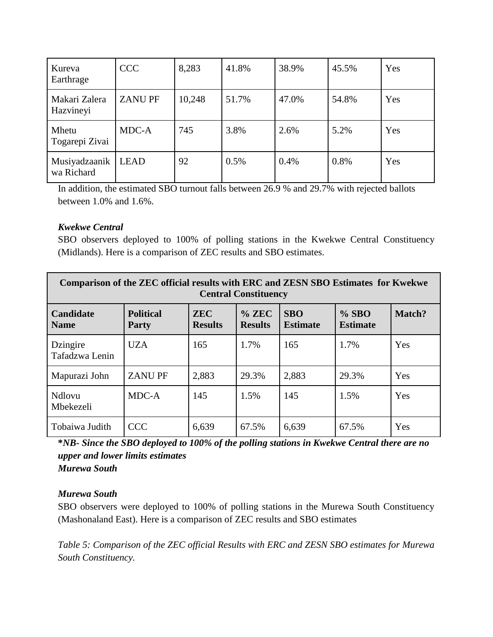| Kureva<br>Earthrage         | <b>CCC</b>    | 8,283  | 41.8% | 38.9% | 45.5% | Yes |
|-----------------------------|---------------|--------|-------|-------|-------|-----|
| Makari Zalera<br>Hazvineyi  | <b>ZANUPF</b> | 10,248 | 51.7% | 47.0% | 54.8% | Yes |
| Mhetu<br>Togarepi Zivai     | MDC-A         | 745    | 3.8%  | 2.6%  | 5.2%  | Yes |
| Musiyadzaanik<br>wa Richard | <b>LEAD</b>   | 92     | 0.5%  | 0.4%  | 0.8%  | Yes |

In addition, the estimated SBO turnout falls between 26.9 % and 29.7% with rejected ballots between 1.0% and 1.6%.

### *Kwekwe Central*

SBO observers deployed to 100% of polling stations in the Kwekwe Central Constituency (Midlands). Here is a comparison of ZEC results and SBO estimates.

| <b>Comparison of the ZEC official results with ERC and ZESN SBO Estimates for Kwekwe</b><br><b>Central Constituency</b> |                                  |                              |                           |                               |                            |        |  |
|-------------------------------------------------------------------------------------------------------------------------|----------------------------------|------------------------------|---------------------------|-------------------------------|----------------------------|--------|--|
| Candidate<br><b>Name</b>                                                                                                | <b>Political</b><br><b>Party</b> | <b>ZEC</b><br><b>Results</b> | $%$ ZEC<br><b>Results</b> | <b>SBO</b><br><b>Estimate</b> | $%$ SBO<br><b>Estimate</b> | Match? |  |
| Dzingire<br>Tafadzwa Lenin                                                                                              | <b>UZA</b>                       | 165                          | 1.7%                      | 165                           | 1.7%                       | Yes    |  |
| Mapurazi John                                                                                                           | <b>ZANUPF</b>                    | 2,883                        | 29.3%                     | 2,883                         | 29.3%                      | Yes    |  |
| Ndlovu<br>Mbekezeli                                                                                                     | MDC-A                            | 145                          | 1.5%                      | 145                           | 1.5%                       | Yes    |  |
| Tobaiwa Judith                                                                                                          | <b>CCC</b>                       | 6,639                        | 67.5%                     | 6,639                         | 67.5%                      | Yes    |  |

**\****NB- Since the SBO deployed to 100% of the polling stations in Kwekwe Central there are no upper and lower limits estimates Murewa South* 

### *Murewa South*

SBO observers were deployed to 100% of polling stations in the Murewa South Constituency (Mashonaland East). Here is a comparison of ZEC results and SBO estimates

*Table 5: Comparison of the ZEC official Results with ERC and ZESN SBO estimates for Murewa South Constituency.*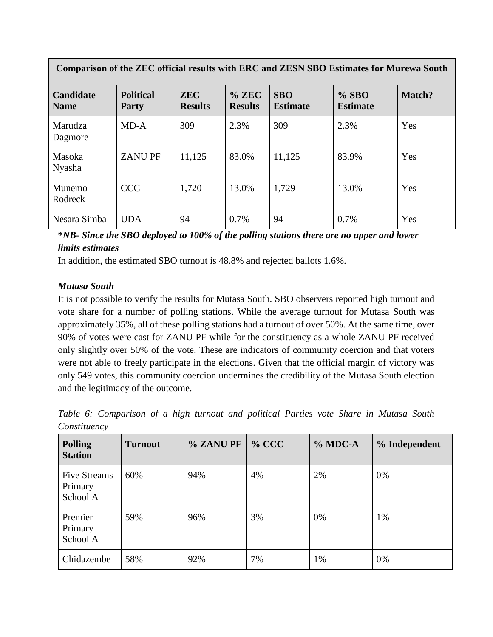| Comparison of the ZEC official results with ERC and ZESN SBO Estimates for Murewa South |                                  |                              |                           |                               |                            |        |  |
|-----------------------------------------------------------------------------------------|----------------------------------|------------------------------|---------------------------|-------------------------------|----------------------------|--------|--|
| <b>Candidate</b><br><b>Name</b>                                                         | <b>Political</b><br><b>Party</b> | <b>ZEC</b><br><b>Results</b> | $%$ ZEC<br><b>Results</b> | <b>SBO</b><br><b>Estimate</b> | $%$ SBO<br><b>Estimate</b> | Match? |  |
| Marudza<br>Dagmore                                                                      | MD-A                             | 309                          | 2.3%                      | 309                           | 2.3%                       | Yes    |  |
| Masoka<br>Nyasha                                                                        | <b>ZANUPF</b>                    | 11,125                       | 83.0%                     | 11,125                        | 83.9%                      | Yes    |  |
| Munemo<br>Rodreck                                                                       | <b>CCC</b>                       | 1,720                        | 13.0%                     | 1,729                         | 13.0%                      | Yes    |  |
| Nesara Simba                                                                            | <b>UDA</b>                       | 94                           | 0.7%                      | 94                            | 0.7%                       | Yes    |  |

**\****NB- Since the SBO deployed to 100% of the polling stations there are no upper and lower limits estimates*

In addition, the estimated SBO turnout is 48.8% and rejected ballots 1.6%.

### *Mutasa South*

It is not possible to verify the results for Mutasa South. SBO observers reported high turnout and vote share for a number of polling stations. While the average turnout for Mutasa South was approximately 35%, all of these polling stations had a turnout of over 50%. At the same time, over 90% of votes were cast for ZANU PF while for the constituency as a whole ZANU PF received only slightly over 50% of the vote. These are indicators of community coercion and that voters were not able to freely participate in the elections. Given that the official margin of victory was only 549 votes, this community coercion undermines the credibility of the Mutasa South election and the legitimacy of the outcome.

*Table 6: Comparison of a high turnout and political Parties vote Share in Mutasa South Constituency*

| <b>Polling</b><br><b>Station</b>           | <b>Turnout</b> | % ZANU PF | $%$ CCC | % MDC-A | % Independent |
|--------------------------------------------|----------------|-----------|---------|---------|---------------|
| <b>Five Streams</b><br>Primary<br>School A | 60%            | 94%       | 4%      | 2%      | 0%            |
| Premier<br>Primary<br>School A             | 59%            | 96%       | 3%      | 0%      | 1%            |
| Chidazembe                                 | 58%            | 92%       | 7%      | 1%      | 0%            |